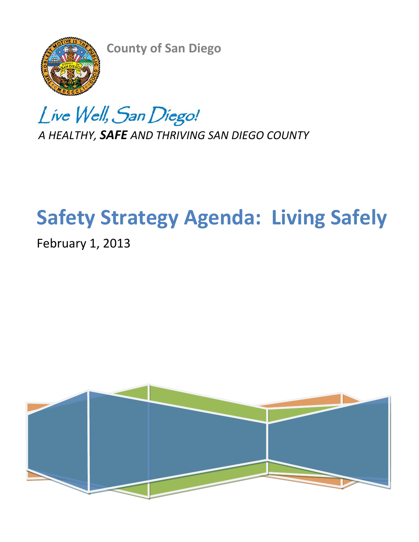**County of San Diego**



Live Well, San Diego! *A HEALTHY, SAFE AND THRIVING SAN DIEGO COUNTY*

# **Safety Strategy Agenda: Living Safely**

February 1, 2013

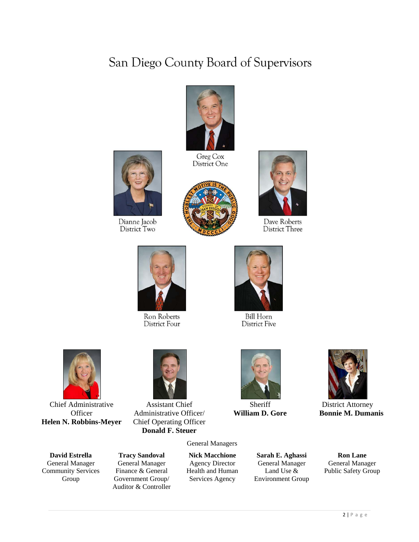# San Diego County Board of Supervisors



Greg Cox District One





Dave Roberts **District Three** 



Dianne Jacob District Two

**Ron Roberts District Four** 



**Bill Horn District Five** 

Sheriff **William D. Gore**



Chief Administrative **Officer Helen N. Robbins-Meyer**

**David Estrella** General Manager Community Services Group



Assistant Chief Administrative Officer/ Chief Operating Officer **Donald F. Steuer**

**Tracy Sandoval** General Manager Finance & General Government Group/ Auditor & Controller General Managers

**Nick Macchione** Agency Director Health and Human Services Agency

**Sarah E. Aghassi** General Manager Land Use & Environment Group



District Attorney **Bonnie M. Dumanis**

**Ron Lane** General Manager Public Safety Group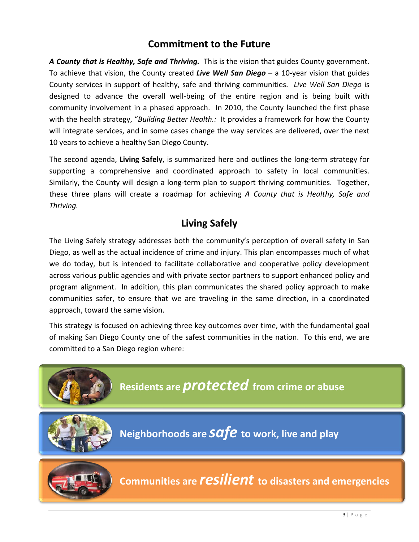# **Commitment to the Future**

*A County that is Healthy, Safe and Thriving.* This is the vision that guides County government. To achieve that vision, the County created *Live Well San Diego* – a 10-year vision that guides County services in support of healthy, safe and thriving communities. *Live Well San Diego* is designed to advance the overall well-being of the entire region and is being built with community involvement in a phased approach. In 2010, the County launched the first phase with the health strategy, "*Building Better Health.:* It provides a framework for how the County will integrate services, and in some cases change the way services are delivered, over the next 10 years to achieve a healthy San Diego County.

The second agenda, **Living Safely**, is summarized here and outlines the long-term strategy for supporting a comprehensive and coordinated approach to safety in local communities. Similarly, the County will design a long-term plan to support thriving communities. Together, these three plans will create a roadmap for achieving *A County that is Healthy, Safe and Thriving.*

# **Living Safely**

The Living Safely strategy addresses both the community's perception of overall safety in San Diego, as well as the actual incidence of crime and injury. This plan encompasses much of what we do today, but is intended to facilitate collaborative and cooperative policy development across various public agencies and with private sector partners to support enhanced policy and program alignment. In addition, this plan communicates the shared policy approach to make communities safer, to ensure that we are traveling in the same direction, in a coordinated approach, toward the same vision.

This strategy is focused on achieving three key outcomes over time, with the fundamental goal of making San Diego County one of the safest communities in the nation. To this end, we are committed to a San Diego region where:

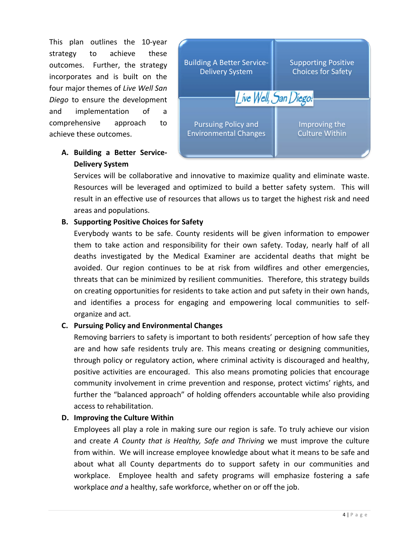This plan outlines the 10-year strategy to achieve these outcomes. Further, the strategy incorporates and is built on the four major themes of *Live Well San Diego* to ensure the development and implementation of a comprehensive approach to achieve these outcomes.

#### **A. Building a Better Service-Delivery System**



Services will be collaborative and innovative to maximize quality and eliminate waste. Resources will be leveraged and optimized to build a better safety system. This will result in an effective use of resources that allows us to target the highest risk and need areas and populations.

#### **B. Supporting Positive Choices for Safety**

Everybody wants to be safe. County residents will be given information to empower them to take action and responsibility for their own safety. Today, nearly half of all deaths investigated by the Medical Examiner are accidental deaths that might be avoided. Our region continues to be at risk from wildfires and other emergencies, threats that can be minimized by resilient communities. Therefore, this strategy builds on creating opportunities for residents to take action and put safety in their own hands, and identifies a process for engaging and empowering local communities to selforganize and act.

#### **C. Pursuing Policy and Environmental Changes**

Removing barriers to safety is important to both residents' perception of how safe they are and how safe residents truly are. This means creating or designing communities, through policy or regulatory action, where criminal activity is discouraged and healthy, positive activities are encouraged. This also means promoting policies that encourage community involvement in crime prevention and response, protect victims' rights, and further the "balanced approach" of holding offenders accountable while also providing access to rehabilitation.

#### **D. Improving the Culture Within**

Employees all play a role in making sure our region is safe. To truly achieve our vision and create *A County that is Healthy, Safe and Thriving* we must improve the culture from within. We will increase employee knowledge about what it means to be safe and about what all County departments do to support safety in our communities and workplace. Employee health and safety programs will emphasize fostering a safe workplace *and* a healthy, safe workforce, whether on or off the job.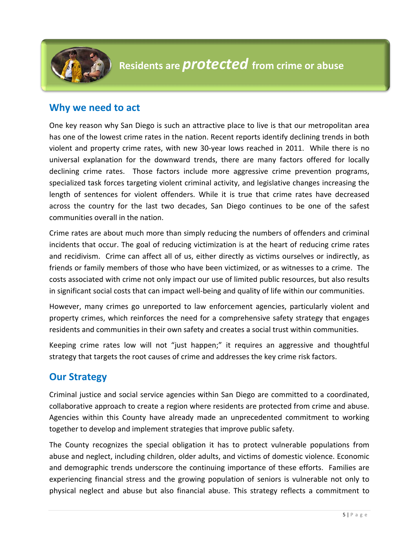

### **Why we need to act**

One key reason why San Diego is such an attractive place to live is that our metropolitan area has one of the lowest crime rates in the nation. Recent reports identify declining trends in both violent and property crime rates, with new 30-year lows reached in 2011. While there is no universal explanation for the downward trends, there are many factors offered for locally declining crime rates. Those factors include more aggressive crime prevention programs, specialized task forces targeting violent criminal activity, and legislative changes increasing the length of sentences for violent offenders. While it is true that crime rates have decreased across the country for the last two decades, San Diego continues to be one of the safest communities overall in the nation.

Crime rates are about much more than simply reducing the numbers of offenders and criminal incidents that occur. The goal of reducing victimization is at the heart of reducing crime rates and recidivism. Crime can affect all of us, either directly as victims ourselves or indirectly, as friends or family members of those who have been victimized, or as witnesses to a crime. The costs associated with crime not only impact our use of limited public resources, but also results in significant social costs that can impact well-being and quality of life within our communities.

However, many crimes go unreported to law enforcement agencies, particularly violent and property crimes, which reinforces the need for a comprehensive safety strategy that engages residents and communities in their own safety and creates a social trust within communities.

Keeping crime rates low will not "just happen;" it requires an aggressive and thoughtful strategy that targets the root causes of crime and addresses the key crime risk factors.

# **Our Strategy**

Criminal justice and social service agencies within San Diego are committed to a coordinated, collaborative approach to create a region where residents are protected from crime and abuse. Agencies within this County have already made an unprecedented commitment to working together to develop and implement strategies that improve public safety.

The County recognizes the special obligation it has to protect vulnerable populations from abuse and neglect, including children, older adults, and victims of domestic violence. Economic and demographic trends underscore the continuing importance of these efforts. Families are experiencing financial stress and the growing population of seniors is vulnerable not only to physical neglect and abuse but also financial abuse. This strategy reflects a commitment to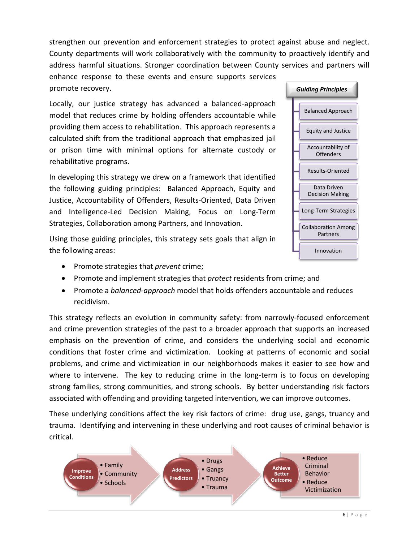strengthen our prevention and enforcement strategies to protect against abuse and neglect. County departments will work collaboratively with the community to proactively identify and address harmful situations. Stronger coordination between County services and partners will enhance response to these events and ensure supports services promote recovery.

Locally, our justice strategy has advanced a balanced-approach model that reduces crime by holding offenders accountable while providing them access to rehabilitation. This approach represents a calculated shift from the traditional approach that emphasized jail or prison time with minimal options for alternate custody or rehabilitative programs.

In developing this strategy we drew on a framework that identified the following guiding principles: Balanced Approach, Equity and Justice, Accountability of Offenders, Results-Oriented, Data Driven and Intelligence-Led Decision Making, Focus on Long-Term Strategies, Collaboration among Partners, and Innovation.

Using those guiding principles, this strategy sets goals that align in the following areas:

*Guiding Principles* Balanced Approach Equity and Justice Accountability of Offenders Results-Oriented Data Driven Decision Making Long-Term Strategies Collaboration Among Partners Innovation

- Promote strategies that *prevent* crime;
- Promote and implement strategies that *protect* residents from crime; and
- Promote a *balanced-approach* model that holds offenders accountable and reduces recidivism.

This strategy reflects an evolution in community safety: from narrowly-focused enforcement and crime prevention strategies of the past to a broader approach that supports an increased emphasis on the prevention of crime, and considers the underlying social and economic conditions that foster crime and victimization. Looking at patterns of economic and social problems, and crime and victimization in our neighborhoods makes it easier to see how and where to intervene. The key to reducing crime in the long-term is to focus on developing strong families, strong communities, and strong schools. By better understanding risk factors associated with offending and providing targeted intervention, we can improve outcomes.

These underlying conditions affect the key risk factors of crime: drug use, gangs, truancy and trauma. Identifying and intervening in these underlying and root causes of criminal behavior is critical.

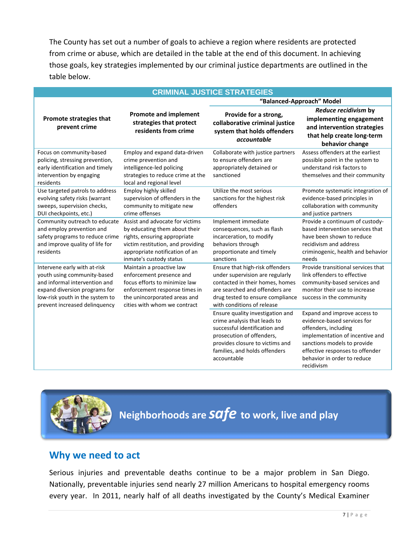The County has set out a number of goals to achieve a region where residents are protected from crime or abuse, which are detailed in the table at the end of this document. In achieving those goals, key strategies implemented by our criminal justice departments are outlined in the table below.

|                                                                                                                                                                                                   |                                                                                                                                                                                                    | <b>CRIMINAL JUSTICE STRATEGIES</b>                                                                                                                                                                                |                                                                                                                                                                                                                                       |  |  |
|---------------------------------------------------------------------------------------------------------------------------------------------------------------------------------------------------|----------------------------------------------------------------------------------------------------------------------------------------------------------------------------------------------------|-------------------------------------------------------------------------------------------------------------------------------------------------------------------------------------------------------------------|---------------------------------------------------------------------------------------------------------------------------------------------------------------------------------------------------------------------------------------|--|--|
|                                                                                                                                                                                                   |                                                                                                                                                                                                    | "Balanced-Approach" Model                                                                                                                                                                                         |                                                                                                                                                                                                                                       |  |  |
| Promote strategies that<br>prevent crime                                                                                                                                                          | <b>Promote and implement</b><br>strategies that protect<br>residents from crime                                                                                                                    | Provide for a strong,<br>collaborative criminal justice<br>system that holds offenders<br>accountable                                                                                                             | Reduce recidivism by<br>implementing engagement<br>and intervention strategies<br>that help create long-term<br>behavior change                                                                                                       |  |  |
| Focus on community-based<br>policing, stressing prevention,<br>early identification and timely<br>intervention by engaging<br>residents                                                           | Employ and expand data-driven<br>crime prevention and<br>intelligence-led policing<br>strategies to reduce crime at the<br>local and regional level                                                | Collaborate with justice partners<br>to ensure offenders are<br>appropriately detained or<br>sanctioned                                                                                                           | Assess offenders at the earliest<br>possible point in the system to<br>understand risk factors to<br>themselves and their community                                                                                                   |  |  |
| Use targeted patrols to address<br>evolving safety risks (warrant<br>sweeps, supervision checks,<br>DUI checkpoints, etc.)                                                                        | Employ highly skilled<br>supervision of offenders in the<br>community to mitigate new<br>crime offenses                                                                                            | Utilize the most serious<br>sanctions for the highest risk<br>offenders                                                                                                                                           | Promote systematic integration of<br>evidence-based principles in<br>collaboration with community<br>and justice partners                                                                                                             |  |  |
| Community outreach to educate<br>and employ prevention and<br>safety programs to reduce crime<br>and improve quality of life for<br>residents                                                     | Assist and advocate for victims<br>by educating them about their<br>rights, ensuring appropriate<br>victim restitution, and providing<br>appropriate notification of an<br>inmate's custody status | Implement immediate<br>consequences, such as flash<br>incarceration, to modify<br>behaviors through<br>proportionate and timely<br>sanctions                                                                      | Provide a continuum of custody-<br>based intervention services that<br>have been shown to reduce<br>recidivism and address<br>criminogenic, health and behavior<br>needs                                                              |  |  |
| Intervene early with at-risk<br>youth using community-based<br>and informal intervention and<br>expand diversion programs for<br>low-risk youth in the system to<br>prevent increased delinquency | Maintain a proactive law<br>enforcement presence and<br>focus efforts to minimize law<br>enforcement response times in<br>the unincorporated areas and<br>cities with whom we contract             | Ensure that high-risk offenders<br>under supervision are regularly<br>contacted in their homes, homes<br>are searched and offenders are<br>drug tested to ensure compliance<br>with conditions of release         | Provide transitional services that<br>link offenders to effective<br>community-based services and<br>monitor their use to increase<br>success in the community                                                                        |  |  |
|                                                                                                                                                                                                   |                                                                                                                                                                                                    | Ensure quality investigation and<br>crime analysis that leads to<br>successful identification and<br>prosecution of offenders,<br>provides closure to victims and<br>families, and holds offenders<br>accountable | Expand and improve access to<br>evidence-based services for<br>offenders, including<br>implementation of incentive and<br>sanctions models to provide<br>effective responses to offender<br>behavior in order to reduce<br>recidivism |  |  |



**Neighborhoods are** *safe* **to work, live and play**

# **Why we need to act**

Serious injuries and preventable deaths continue to be a major problem in San Diego. Nationally, preventable injuries send nearly 27 million Americans to hospital emergency rooms every year. In 2011, nearly half of all deaths investigated by the County's Medical Examiner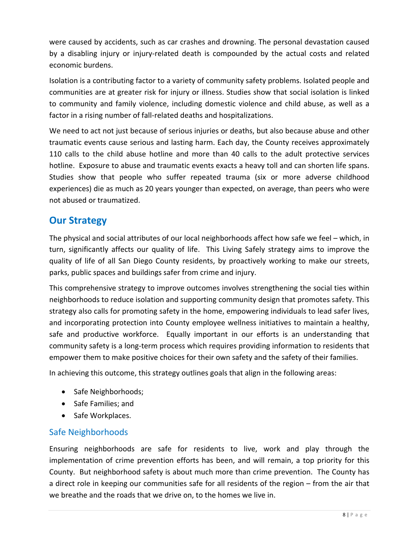were caused by accidents, such as car crashes and drowning. The personal devastation caused by a disabling injury or injury-related death is compounded by the actual costs and related economic burdens.

Isolation is a contributing factor to a variety of community safety problems. Isolated people and communities are at greater risk for injury or illness. Studies show that social isolation is linked to community and family violence, including domestic violence and child abuse, as well as a factor in a rising number of fall-related deaths and hospitalizations.

We need to act not just because of serious injuries or deaths, but also because abuse and other traumatic events cause serious and lasting harm. Each day, the County receives approximately 110 calls to the child abuse hotline and more than 40 calls to the adult protective services hotline. Exposure to abuse and traumatic events exacts a heavy toll and can shorten life spans. Studies show that people who suffer repeated trauma (six or more adverse childhood experiences) die as much as 20 years younger than expected, on average, than peers who were not abused or traumatized.

# **Our Strategy**

The physical and social attributes of our local neighborhoods affect how safe we feel – which, in turn, significantly affects our quality of life. This Living Safely strategy aims to improve the quality of life of all San Diego County residents, by proactively working to make our streets, parks, public spaces and buildings safer from crime and injury.

This comprehensive strategy to improve outcomes involves strengthening the social ties within neighborhoods to reduce isolation and supporting community design that promotes safety. This strategy also calls for promoting safety in the home, empowering individuals to lead safer lives, and incorporating protection into County employee wellness initiatives to maintain a healthy, safe and productive workforce. Equally important in our efforts is an understanding that community safety is a long-term process which requires providing information to residents that empower them to make positive choices for their own safety and the safety of their families.

In achieving this outcome, this strategy outlines goals that align in the following areas:

- Safe Neighborhoods;
- Safe Families; and
- Safe Workplaces.

#### Safe Neighborhoods

Ensuring neighborhoods are safe for residents to live, work and play through the implementation of crime prevention efforts has been, and will remain, a top priority for this County. But neighborhood safety is about much more than crime prevention. The County has a direct role in keeping our communities safe for all residents of the region – from the air that we breathe and the roads that we drive on, to the homes we live in.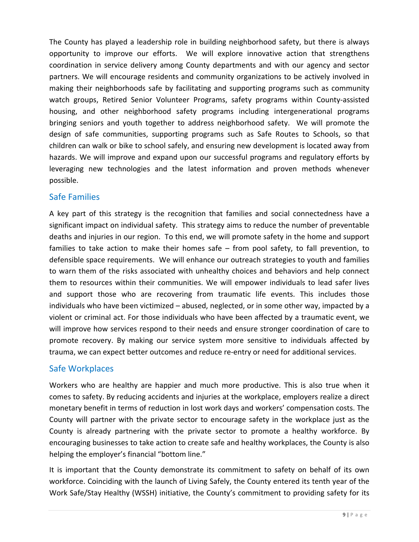The County has played a leadership role in building neighborhood safety, but there is always opportunity to improve our efforts. We will explore innovative action that strengthens coordination in service delivery among County departments and with our agency and sector partners. We will encourage residents and community organizations to be actively involved in making their neighborhoods safe by facilitating and supporting programs such as community watch groups, Retired Senior Volunteer Programs, safety programs within County-assisted housing, and other neighborhood safety programs including intergenerational programs bringing seniors and youth together to address neighborhood safety. We will promote the design of safe communities, supporting programs such as Safe Routes to Schools, so that children can walk or bike to school safely, and ensuring new development is located away from hazards. We will improve and expand upon our successful programs and regulatory efforts by leveraging new technologies and the latest information and proven methods whenever possible.

#### Safe Families

A key part of this strategy is the recognition that families and social connectedness have a significant impact on individual safety. This strategy aims to reduce the number of preventable deaths and injuries in our region. To this end, we will promote safety in the home and support families to take action to make their homes safe – from pool safety, to fall prevention, to defensible space requirements. We will enhance our outreach strategies to youth and families to warn them of the risks associated with unhealthy choices and behaviors and help connect them to resources within their communities. We will empower individuals to lead safer lives and support those who are recovering from traumatic life events. This includes those individuals who have been victimized – abused, neglected, or in some other way, impacted by a violent or criminal act. For those individuals who have been affected by a traumatic event, we will improve how services respond to their needs and ensure stronger coordination of care to promote recovery. By making our service system more sensitive to individuals affected by trauma, we can expect better outcomes and reduce re-entry or need for additional services.

#### Safe Workplaces

Workers who are healthy are happier and much more productive. This is also true when it comes to safety. By reducing accidents and injuries at the workplace, employers realize a direct monetary benefit in terms of reduction in lost work days and workers' compensation costs. The County will partner with the private sector to encourage safety in the workplace just as the County is already partnering with the private sector to promote a healthy workforce. By encouraging businesses to take action to create safe and healthy workplaces, the County is also helping the employer's financial "bottom line."

It is important that the County demonstrate its commitment to safety on behalf of its own workforce. Coinciding with the launch of Living Safely, the County entered its tenth year of the Work Safe/Stay Healthy (WSSH) initiative, the County's commitment to providing safety for its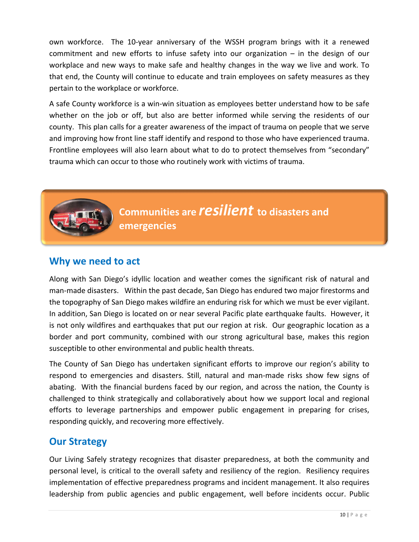own workforce. The 10-year anniversary of the WSSH program brings with it a renewed commitment and new efforts to infuse safety into our organization – in the design of our workplace and new ways to make safe and healthy changes in the way we live and work. To that end, the County will continue to educate and train employees on safety measures as they pertain to the workplace or workforce.

A safe County workforce is a win-win situation as employees better understand how to be safe whether on the job or off, but also are better informed while serving the residents of our county. This plan calls for a greater awareness of the impact of trauma on people that we serve and improving how front line staff identify and respond to those who have experienced trauma. Frontline employees will also learn about what to do to protect themselves from "secondary" trauma which can occur to those who routinely work with victims of trauma.



**Communities are** *resilient* **to disasters and emergencies**

# **Why we need to act**

Along with San Diego's idyllic location and weather comes the significant risk of natural and man-made disasters. Within the past decade, San Diego has endured two major firestorms and the topography of San Diego makes wildfire an enduring risk for which we must be ever vigilant. In addition, San Diego is located on or near several Pacific plate earthquake faults. However, it is not only wildfires and earthquakes that put our region at risk. Our geographic location as a border and port community, combined with our strong agricultural base, makes this region susceptible to other environmental and public health threats.

The County of San Diego has undertaken significant efforts to improve our region's ability to respond to emergencies and disasters. Still, natural and man-made risks show few signs of abating. With the financial burdens faced by our region, and across the nation, the County is challenged to think strategically and collaboratively about how we support local and regional efforts to leverage partnerships and empower public engagement in preparing for crises, responding quickly, and recovering more effectively.

# **Our Strategy**

Our Living Safely strategy recognizes that disaster preparedness, at both the community and personal level, is critical to the overall safety and resiliency of the region. Resiliency requires implementation of effective preparedness programs and incident management. It also requires leadership from public agencies and public engagement, well before incidents occur. Public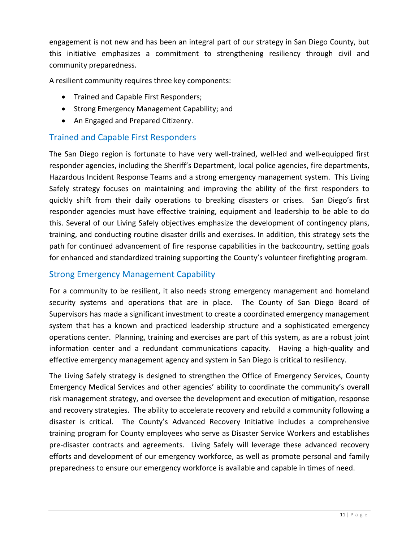engagement is not new and has been an integral part of our strategy in San Diego County, but this initiative emphasizes a commitment to strengthening resiliency through civil and community preparedness.

A resilient community requires three key components:

- Trained and Capable First Responders;
- Strong Emergency Management Capability; and
- An Engaged and Prepared Citizenry.

#### Trained and Capable First Responders

The San Diego region is fortunate to have very well-trained, well-led and well-equipped first responder agencies, including the Sheriff's Department, local police agencies, fire departments, Hazardous Incident Response Teams and a strong emergency management system. This Living Safely strategy focuses on maintaining and improving the ability of the first responders to quickly shift from their daily operations to breaking disasters or crises. San Diego's first responder agencies must have effective training, equipment and leadership to be able to do this. Several of our Living Safely objectives emphasize the development of contingency plans, training, and conducting routine disaster drills and exercises. In addition, this strategy sets the path for continued advancement of fire response capabilities in the backcountry, setting goals for enhanced and standardized training supporting the County's volunteer firefighting program.

#### Strong Emergency Management Capability

For a community to be resilient, it also needs strong emergency management and homeland security systems and operations that are in place. The County of San Diego Board of Supervisors has made a significant investment to create a coordinated emergency management system that has a known and practiced leadership structure and a sophisticated emergency operations center. Planning, training and exercises are part of this system, as are a robust joint information center and a redundant communications capacity. Having a high-quality and effective emergency management agency and system in San Diego is critical to resiliency.

The Living Safely strategy is designed to strengthen the Office of Emergency Services, County Emergency Medical Services and other agencies' ability to coordinate the community's overall risk management strategy, and oversee the development and execution of mitigation, response and recovery strategies. The ability to accelerate recovery and rebuild a community following a disaster is critical. The County's Advanced Recovery Initiative includes a comprehensive training program for County employees who serve as Disaster Service Workers and establishes pre-disaster contracts and agreements. Living Safely will leverage these advanced recovery efforts and development of our emergency workforce, as well as promote personal and family preparedness to ensure our emergency workforce is available and capable in times of need.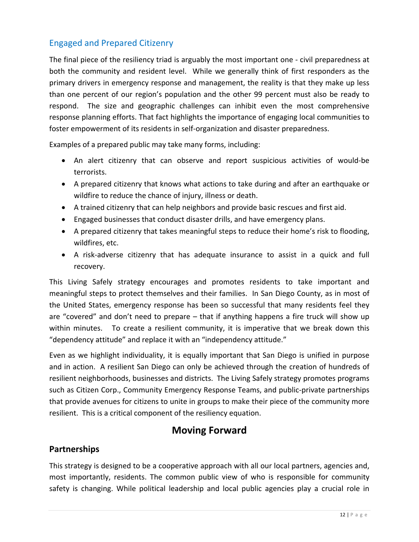## Engaged and Prepared Citizenry

The final piece of the resiliency triad is arguably the most important one - civil preparedness at both the community and resident level. While we generally think of first responders as the primary drivers in emergency response and management, the reality is that they make up less than one percent of our region's population and the other 99 percent must also be ready to respond. The size and geographic challenges can inhibit even the most comprehensive response planning efforts. That fact highlights the importance of engaging local communities to foster empowerment of its residents in self-organization and disaster preparedness.

Examples of a prepared public may take many forms, including:

- An alert citizenry that can observe and report suspicious activities of would-be terrorists.
- A prepared citizenry that knows what actions to take during and after an earthquake or wildfire to reduce the chance of injury, illness or death.
- A trained citizenry that can help neighbors and provide basic rescues and first aid.
- Engaged businesses that conduct disaster drills, and have emergency plans.
- A prepared citizenry that takes meaningful steps to reduce their home's risk to flooding, wildfires, etc.
- A risk-adverse citizenry that has adequate insurance to assist in a quick and full recovery.

This Living Safely strategy encourages and promotes residents to take important and meaningful steps to protect themselves and their families. In San Diego County, as in most of the United States, emergency response has been so successful that many residents feel they are "covered" and don't need to prepare – that if anything happens a fire truck will show up within minutes. To create a resilient community, it is imperative that we break down this "dependency attitude" and replace it with an "independency attitude."

Even as we highlight individuality, it is equally important that San Diego is unified in purpose and in action. A resilient San Diego can only be achieved through the creation of hundreds of resilient neighborhoods, businesses and districts. The Living Safely strategy promotes programs such as Citizen Corp., Community Emergency Response Teams, and public-private partnerships that provide avenues for citizens to unite in groups to make their piece of the community more resilient. This is a critical component of the resiliency equation.

# **Moving Forward**

#### **Partnerships**

This strategy is designed to be a cooperative approach with all our local partners, agencies and, most importantly, residents. The common public view of who is responsible for community safety is changing. While political leadership and local public agencies play a crucial role in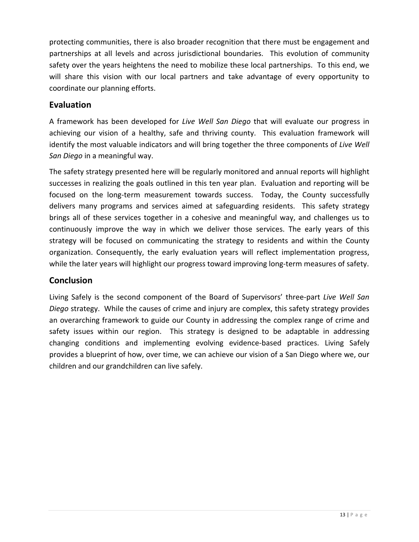protecting communities, there is also broader recognition that there must be engagement and partnerships at all levels and across jurisdictional boundaries. This evolution of community safety over the years heightens the need to mobilize these local partnerships. To this end, we will share this vision with our local partners and take advantage of every opportunity to coordinate our planning efforts.

#### **Evaluation**

A framework has been developed for *Live Well San Diego* that will evaluate our progress in achieving our vision of a healthy, safe and thriving county. This evaluation framework will identify the most valuable indicators and will bring together the three components of *Live Well San Diego* in a meaningful way.

The safety strategy presented here will be regularly monitored and annual reports will highlight successes in realizing the goals outlined in this ten year plan. Evaluation and reporting will be focused on the long-term measurement towards success. Today, the County successfully delivers many programs and services aimed at safeguarding residents. This safety strategy brings all of these services together in a cohesive and meaningful way, and challenges us to continuously improve the way in which we deliver those services. The early years of this strategy will be focused on communicating the strategy to residents and within the County organization. Consequently, the early evaluation years will reflect implementation progress, while the later years will highlight our progress toward improving long-term measures of safety.

#### **Conclusion**

Living Safely is the second component of the Board of Supervisors' three-part *Live Well San Diego* strategy. While the causes of crime and injury are complex, this safety strategy provides an overarching framework to guide our County in addressing the complex range of crime and safety issues within our region. This strategy is designed to be adaptable in addressing changing conditions and implementing evolving evidence-based practices. Living Safely provides a blueprint of how, over time, we can achieve our vision of a San Diego where we, our children and our grandchildren can live safely.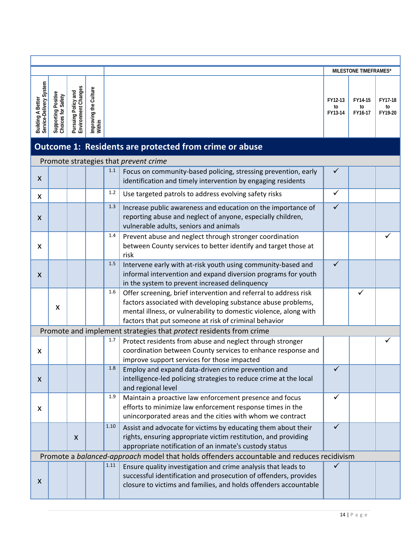|                                              |                                           |                                            |                                 |      | <b>MILESTONE TIMEFRAMES*</b>                                                                                                                                                                                                                                   |                          |                          |                          |  |  |
|----------------------------------------------|-------------------------------------------|--------------------------------------------|---------------------------------|------|----------------------------------------------------------------------------------------------------------------------------------------------------------------------------------------------------------------------------------------------------------------|--------------------------|--------------------------|--------------------------|--|--|
| Building A Better<br>Service-Delivery System | Supporting Positive<br>Choices for Safety | Pursuing Policy and<br>Environment Changes | Improving the Culture<br>Within |      |                                                                                                                                                                                                                                                                | FY12-13<br>to<br>FY13-14 | FY14-15<br>to<br>FY16-17 | FY17-18<br>to<br>FY19-20 |  |  |
|                                              |                                           |                                            |                                 |      | <b>Outcome 1: Residents are protected from crime or abuse</b>                                                                                                                                                                                                  |                          |                          |                          |  |  |
|                                              |                                           |                                            |                                 |      | Promote strategies that prevent crime                                                                                                                                                                                                                          |                          |                          |                          |  |  |
| X                                            |                                           |                                            |                                 | 1.1  | Focus on community-based policing, stressing prevention, early<br>identification and timely intervention by engaging residents                                                                                                                                 | $\checkmark$             |                          |                          |  |  |
| X                                            |                                           |                                            |                                 | 1.2  | Use targeted patrols to address evolving safety risks                                                                                                                                                                                                          | $\checkmark$             |                          |                          |  |  |
| X                                            |                                           |                                            |                                 | 1.3  | Increase public awareness and education on the importance of<br>reporting abuse and neglect of anyone, especially children,<br>vulnerable adults, seniors and animals                                                                                          | ✓                        |                          |                          |  |  |
| X                                            |                                           |                                            |                                 | 1.4  | Prevent abuse and neglect through stronger coordination<br>between County services to better identify and target those at<br>risk                                                                                                                              |                          |                          |                          |  |  |
| X                                            |                                           |                                            |                                 | 1.5  | Intervene early with at-risk youth using community-based and<br>informal intervention and expand diversion programs for youth<br>in the system to prevent increased delinquency                                                                                | ✓                        |                          |                          |  |  |
|                                              | X                                         |                                            |                                 | 1.6  | Offer screening, brief intervention and referral to address risk<br>factors associated with developing substance abuse problems,<br>mental illness, or vulnerability to domestic violence, along with<br>factors that put someone at risk of criminal behavior |                          | ✓                        |                          |  |  |
|                                              |                                           |                                            |                                 |      | Promote and implement strategies that protect residents from crime                                                                                                                                                                                             |                          |                          |                          |  |  |
| x                                            |                                           |                                            |                                 | 1.7  | Protect residents from abuse and neglect through stronger<br>coordination between County services to enhance response and<br>improve support services for those impacted                                                                                       |                          |                          |                          |  |  |
| X                                            |                                           |                                            |                                 | 1.8  | Employ and expand data-driven crime prevention and<br>intelligence-led policing strategies to reduce crime at the local<br>and regional level                                                                                                                  | $\checkmark$             |                          |                          |  |  |
| X                                            |                                           |                                            |                                 | 1.9  | Maintain a proactive law enforcement presence and focus<br>efforts to minimize law enforcement response times in the<br>unincorporated areas and the cities with whom we contract                                                                              | $\checkmark$             |                          |                          |  |  |
|                                              |                                           | X                                          |                                 | 1.10 | Assist and advocate for victims by educating them about their<br>rights, ensuring appropriate victim restitution, and providing<br>appropriate notification of an inmate's custody status                                                                      | $\checkmark$             |                          |                          |  |  |
|                                              |                                           |                                            |                                 |      | Promote a balanced-approach model that holds offenders accountable and reduces recidivism                                                                                                                                                                      |                          |                          |                          |  |  |
| X                                            |                                           |                                            |                                 | 1.11 | Ensure quality investigation and crime analysis that leads to<br>successful identification and prosecution of offenders, provides<br>closure to victims and families, and holds offenders accountable                                                          | $\checkmark$             |                          |                          |  |  |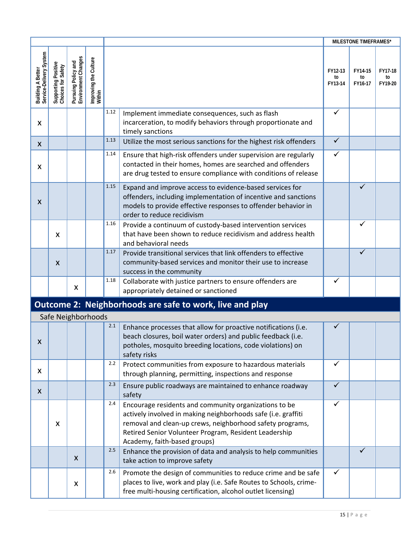|                                              |                                           |                                            |                                 |          | <b>MILESTONE TIMEFRAMES*</b>                                                                                                                                                                                                                                                 |                          |                          |                          |
|----------------------------------------------|-------------------------------------------|--------------------------------------------|---------------------------------|----------|------------------------------------------------------------------------------------------------------------------------------------------------------------------------------------------------------------------------------------------------------------------------------|--------------------------|--------------------------|--------------------------|
| Building A Better<br>Service-Delivery System | Supporting Positive<br>Choices for Safety | Pursuing Policy and<br>Environment Changes | Improving the Culture<br>Within |          |                                                                                                                                                                                                                                                                              | FY12-13<br>to<br>FY13-14 | FY14-15<br>to<br>FY16-17 | FY17-18<br>to<br>FY19-20 |
| X                                            |                                           |                                            |                                 | 1.12     | Implement immediate consequences, such as flash<br>incarceration, to modify behaviors through proportionate and<br>timely sanctions                                                                                                                                          | $\checkmark$             |                          |                          |
| X                                            |                                           |                                            |                                 | 1.13     | Utilize the most serious sanctions for the highest risk offenders                                                                                                                                                                                                            | $\checkmark$             |                          |                          |
| X                                            |                                           |                                            |                                 | 1.14     | Ensure that high-risk offenders under supervision are regularly<br>contacted in their homes, homes are searched and offenders<br>are drug tested to ensure compliance with conditions of release                                                                             | $\checkmark$             |                          |                          |
| X                                            |                                           |                                            |                                 | 1.15     | Expand and improve access to evidence-based services for<br>offenders, including implementation of incentive and sanctions<br>models to provide effective responses to offender behavior in<br>order to reduce recidivism                                                    |                          | ✓                        |                          |
|                                              | X                                         |                                            |                                 | 1.16     | Provide a continuum of custody-based intervention services<br>that have been shown to reduce recidivism and address health<br>and behavioral needs                                                                                                                           |                          | ✓                        |                          |
|                                              | $\boldsymbol{\mathsf{X}}$                 |                                            |                                 | 1.17     | Provide transitional services that link offenders to effective<br>community-based services and monitor their use to increase<br>success in the community                                                                                                                     |                          | ✓                        |                          |
|                                              |                                           | $\boldsymbol{\mathsf{X}}$                  |                                 | $1.18\,$ | Collaborate with justice partners to ensure offenders are<br>appropriately detained or sanctioned                                                                                                                                                                            | $\checkmark$             |                          |                          |
|                                              |                                           |                                            |                                 |          | Outcome 2: Neighborhoods are safe to work, live and play                                                                                                                                                                                                                     |                          |                          |                          |
|                                              |                                           | Safe Neighborhoods                         |                                 |          |                                                                                                                                                                                                                                                                              |                          |                          |                          |
| X                                            |                                           |                                            |                                 | 2.1      | Enhance processes that allow for proactive notifications (i.e.<br>beach closures, boil water orders) and public feedback (i.e.<br>potholes, mosquito breeding locations, code violations) on<br>safety risks                                                                 | ✓                        |                          |                          |
| X                                            |                                           |                                            |                                 | $2.2\,$  | Protect communities from exposure to hazardous materials<br>through planning, permitting, inspections and response                                                                                                                                                           | $\checkmark$             |                          |                          |
| X                                            |                                           |                                            |                                 | 2.3      | Ensure public roadways are maintained to enhance roadway<br>safety                                                                                                                                                                                                           | $\checkmark$             |                          |                          |
|                                              | X                                         |                                            |                                 | 2.4      | Encourage residents and community organizations to be<br>actively involved in making neighborhoods safe (i.e. graffiti<br>removal and clean-up crews, neighborhood safety programs,<br>Retired Senior Volunteer Program, Resident Leadership<br>Academy, faith-based groups) | $\checkmark$             |                          |                          |
|                                              |                                           | $\boldsymbol{X}$                           |                                 | 2.5      | Enhance the provision of data and analysis to help communities<br>take action to improve safety                                                                                                                                                                              |                          | ✓                        |                          |
|                                              |                                           | $\boldsymbol{\mathsf{x}}$                  |                                 | 2.6      | Promote the design of communities to reduce crime and be safe<br>places to live, work and play (i.e. Safe Routes to Schools, crime-<br>free multi-housing certification, alcohol outlet licensing)                                                                           | ✓                        |                          |                          |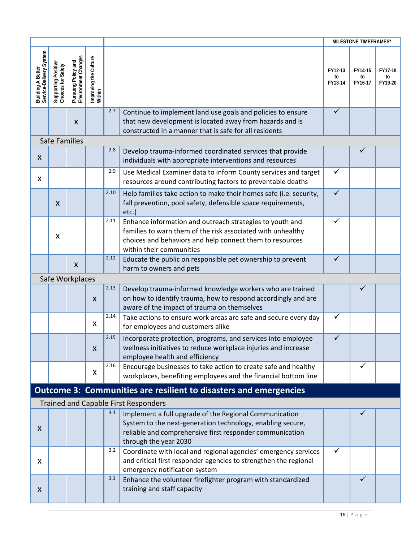|                                              |                                           |                                            |                                 |      |                                                                                                                                                                                                                 |                          | <b>MILESTONE TIMEFRAMES*</b> |                          |
|----------------------------------------------|-------------------------------------------|--------------------------------------------|---------------------------------|------|-----------------------------------------------------------------------------------------------------------------------------------------------------------------------------------------------------------------|--------------------------|------------------------------|--------------------------|
| Building A Better<br>Service-Delivery System | Supporting Positive<br>Choices for Safety | Pursuing Policy and<br>Environment Changes | Improving the Culture<br>Within |      |                                                                                                                                                                                                                 | FY12-13<br>to<br>FY13-14 | FY14-15<br>to<br>FY16-17     | FY17-18<br>to<br>FY19-20 |
|                                              |                                           | $\pmb{\times}$                             |                                 | 2.7  | Continue to implement land use goals and policies to ensure<br>that new development is located away from hazards and is<br>constructed in a manner that is safe for all residents                               | $\checkmark$             |                              |                          |
|                                              | Safe Families                             |                                            |                                 |      |                                                                                                                                                                                                                 |                          |                              |                          |
| $\boldsymbol{\mathsf{X}}$                    |                                           |                                            |                                 | 2.8  | Develop trauma-informed coordinated services that provide<br>individuals with appropriate interventions and resources                                                                                           |                          |                              |                          |
| X                                            |                                           |                                            |                                 | 2.9  | Use Medical Examiner data to inform County services and target<br>resources around contributing factors to preventable deaths                                                                                   | $\checkmark$             |                              |                          |
|                                              | $\boldsymbol{\mathsf{X}}$                 |                                            |                                 | 2.10 | Help families take action to make their homes safe (i.e. security,<br>fall prevention, pool safety, defensible space requirements,<br>etc.)                                                                     | $\checkmark$             |                              |                          |
|                                              | X                                         |                                            |                                 | 2.11 | Enhance information and outreach strategies to youth and<br>families to warn them of the risk associated with unhealthy<br>choices and behaviors and help connect them to resources<br>within their communities | ✓                        |                              |                          |
|                                              |                                           | X                                          |                                 | 2.12 | Educate the public on responsible pet ownership to prevent<br>harm to owners and pets                                                                                                                           | $\checkmark$             |                              |                          |
|                                              | Safe Workplaces                           |                                            |                                 |      |                                                                                                                                                                                                                 |                          |                              |                          |
|                                              |                                           |                                            | $\boldsymbol{\mathsf{x}}$       | 2.13 | Develop trauma-informed knowledge workers who are trained<br>on how to identify trauma, how to respond accordingly and are<br>aware of the impact of trauma on themselves                                       |                          |                              |                          |
|                                              |                                           |                                            | X                               | 2.14 | Take actions to ensure work areas are safe and secure every day<br>for employees and customers alike                                                                                                            | ✓                        |                              |                          |
|                                              |                                           |                                            | X                               | 2.15 | Incorporate protection, programs, and services into employee<br>wellness initiatives to reduce workplace injuries and increase<br>employee health and efficiency                                                |                          |                              |                          |
|                                              |                                           |                                            | X                               | 2.16 | Encourage businesses to take action to create safe and healthy<br>workplaces, benefiting employees and the financial bottom line                                                                                |                          | ✓                            |                          |
|                                              |                                           |                                            |                                 |      | <b>Outcome 3: Communities are resilient to disasters and emergencies</b>                                                                                                                                        |                          |                              |                          |
|                                              |                                           |                                            |                                 |      | <b>Trained and Capable First Responders</b>                                                                                                                                                                     |                          |                              |                          |
| X                                            |                                           |                                            |                                 | 3.1  | Implement a full upgrade of the Regional Communication<br>System to the next-generation technology, enabling secure,<br>reliable and comprehensive first responder communication<br>through the year 2030       |                          | ✓                            |                          |
| X                                            |                                           |                                            |                                 | 3.2  | Coordinate with local and regional agencies' emergency services<br>and critical first responder agencies to strengthen the regional<br>emergency notification system                                            | ✓                        |                              |                          |
| X                                            |                                           |                                            |                                 | 3.3  | Enhance the volunteer firefighter program with standardized<br>training and staff capacity                                                                                                                      |                          | $\checkmark$                 |                          |